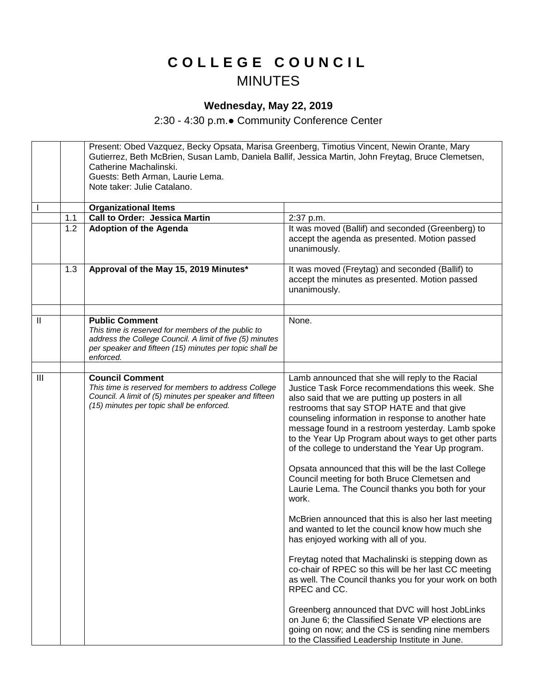## **C O L L E G E C O U N C I L** MINUTES

## **Wednesday, May 22, 2019**

2:30 - 4:30 p.m.● Community Conference Center

|                            |     | Present: Obed Vazquez, Becky Opsata, Marisa Greenberg, Timotius Vincent, Newin Orante, Mary<br>Gutierrez, Beth McBrien, Susan Lamb, Daniela Ballif, Jessica Martin, John Freytag, Bruce Clemetsen,<br>Catherine Machalinski.<br>Guests: Beth Arman, Laurie Lema.<br>Note taker: Julie Catalano. |                                                                                                                                                                                                                                                                                                                                                                            |  |
|----------------------------|-----|-------------------------------------------------------------------------------------------------------------------------------------------------------------------------------------------------------------------------------------------------------------------------------------------------|----------------------------------------------------------------------------------------------------------------------------------------------------------------------------------------------------------------------------------------------------------------------------------------------------------------------------------------------------------------------------|--|
|                            |     | <b>Organizational Items</b>                                                                                                                                                                                                                                                                     |                                                                                                                                                                                                                                                                                                                                                                            |  |
|                            | 1.1 | <b>Call to Order: Jessica Martin</b>                                                                                                                                                                                                                                                            | 2:37 p.m.                                                                                                                                                                                                                                                                                                                                                                  |  |
|                            | 1.2 | <b>Adoption of the Agenda</b>                                                                                                                                                                                                                                                                   | It was moved (Ballif) and seconded (Greenberg) to<br>accept the agenda as presented. Motion passed<br>unanimously.                                                                                                                                                                                                                                                         |  |
|                            | 1.3 | Approval of the May 15, 2019 Minutes*                                                                                                                                                                                                                                                           | It was moved (Freytag) and seconded (Ballif) to<br>accept the minutes as presented. Motion passed<br>unanimously.                                                                                                                                                                                                                                                          |  |
| $\ensuremath{\mathsf{II}}$ |     | <b>Public Comment</b><br>This time is reserved for members of the public to<br>address the College Council. A limit of five (5) minutes<br>per speaker and fifteen (15) minutes per topic shall be<br>enforced.                                                                                 | None.                                                                                                                                                                                                                                                                                                                                                                      |  |
| III                        |     | <b>Council Comment</b>                                                                                                                                                                                                                                                                          | Lamb announced that she will reply to the Racial                                                                                                                                                                                                                                                                                                                           |  |
|                            |     | This time is reserved for members to address College<br>Council. A limit of (5) minutes per speaker and fifteen<br>(15) minutes per topic shall be enforced.                                                                                                                                    | Justice Task Force recommendations this week. She<br>also said that we are putting up posters in all<br>restrooms that say STOP HATE and that give<br>counseling information in response to another hate<br>message found in a restroom yesterday. Lamb spoke<br>to the Year Up Program about ways to get other parts<br>of the college to understand the Year Up program. |  |
|                            |     |                                                                                                                                                                                                                                                                                                 | Opsata announced that this will be the last College<br>Council meeting for both Bruce Clemetsen and<br>Laurie Lema. The Council thanks you both for your<br>work.                                                                                                                                                                                                          |  |
|                            |     |                                                                                                                                                                                                                                                                                                 | McBrien announced that this is also her last meeting<br>and wanted to let the council know how much she<br>has enjoyed working with all of you.                                                                                                                                                                                                                            |  |
|                            |     |                                                                                                                                                                                                                                                                                                 | Freytag noted that Machalinski is stepping down as<br>co-chair of RPEC so this will be her last CC meeting<br>as well. The Council thanks you for your work on both<br>RPEC and CC.                                                                                                                                                                                        |  |
|                            |     |                                                                                                                                                                                                                                                                                                 | Greenberg announced that DVC will host JobLinks<br>on June 6; the Classified Senate VP elections are<br>going on now; and the CS is sending nine members<br>to the Classified Leadership Institute in June.                                                                                                                                                                |  |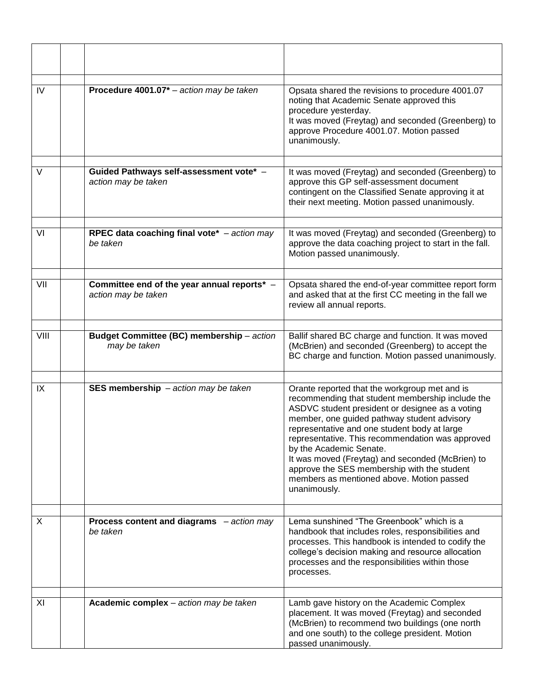| IV   | Procedure 4001.07 $*$ – action may be taken                        | Opsata shared the revisions to procedure 4001.07<br>noting that Academic Senate approved this<br>procedure yesterday.<br>It was moved (Freytag) and seconded (Greenberg) to<br>approve Procedure 4001.07. Motion passed<br>unanimously.                                                                                                                                                                                                                                                            |
|------|--------------------------------------------------------------------|----------------------------------------------------------------------------------------------------------------------------------------------------------------------------------------------------------------------------------------------------------------------------------------------------------------------------------------------------------------------------------------------------------------------------------------------------------------------------------------------------|
| V    | Guided Pathways self-assessment vote* -<br>action may be taken     | It was moved (Freytag) and seconded (Greenberg) to<br>approve this GP self-assessment document<br>contingent on the Classified Senate approving it at<br>their next meeting. Motion passed unanimously.                                                                                                                                                                                                                                                                                            |
| VI   | RPEC data coaching final vote* - action may<br>be taken            | It was moved (Freytag) and seconded (Greenberg) to<br>approve the data coaching project to start in the fall.<br>Motion passed unanimously.                                                                                                                                                                                                                                                                                                                                                        |
| VII  | Committee end of the year annual reports* -<br>action may be taken | Opsata shared the end-of-year committee report form<br>and asked that at the first CC meeting in the fall we<br>review all annual reports.                                                                                                                                                                                                                                                                                                                                                         |
| VIII | Budget Committee (BC) membership - action<br>may be taken          | Ballif shared BC charge and function. It was moved<br>(McBrien) and seconded (Greenberg) to accept the<br>BC charge and function. Motion passed unanimously.                                                                                                                                                                                                                                                                                                                                       |
| IX   | SES membership $-$ action may be taken                             | Orante reported that the workgroup met and is<br>recommending that student membership include the<br>ASDVC student president or designee as a voting<br>member, one guided pathway student advisory<br>representative and one student body at large<br>representative. This recommendation was approved<br>by the Academic Senate.<br>It was moved (Freytag) and seconded (McBrien) to<br>approve the SES membership with the student<br>members as mentioned above. Motion passed<br>unanimously. |
|      |                                                                    |                                                                                                                                                                                                                                                                                                                                                                                                                                                                                                    |
| X    | Process content and diagrams $-$ action may<br>be taken            | Lema sunshined "The Greenbook" which is a<br>handbook that includes roles, responsibilities and<br>processes. This handbook is intended to codify the<br>college's decision making and resource allocation<br>processes and the responsibilities within those<br>processes.                                                                                                                                                                                                                        |
| XI   | Academic complex - action may be taken                             | Lamb gave history on the Academic Complex<br>placement. It was moved (Freytag) and seconded<br>(McBrien) to recommend two buildings (one north<br>and one south) to the college president. Motion<br>passed unanimously.                                                                                                                                                                                                                                                                           |